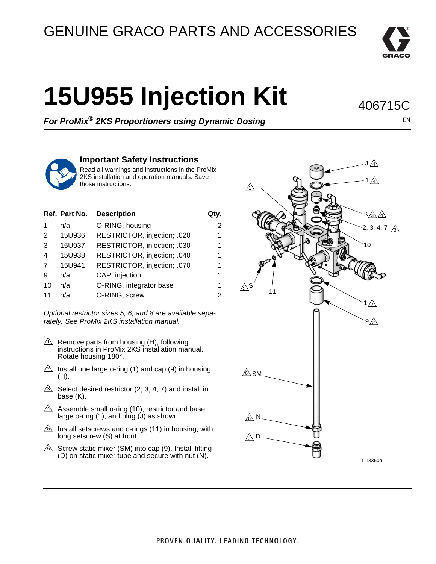## GENUINE GRACO PARTS AND ACCESSORIES



## **15U955 Injection Kit**

406715C

*For ProMix® 2KS Proportioners using Dynamic Dosing*

EN



## **Important Safety Instructions**

Read all warnings and instructions in the ProMix 2KS installation and operation manuals. Save those instructions.

|    | Ref. Part No. | <b>Description</b>          | Qtv.           |
|----|---------------|-----------------------------|----------------|
|    | n/a           | O-RING, housing             | $\overline{2}$ |
| 2  | 15U936        | RESTRICTOR, injection; .020 | 1              |
| 3  | 15U937        | RESTRICTOR, injection; .030 | 1              |
| 4  | 15U938        | RESTRICTOR, injection; .040 | 1              |
| 7  | 15U941        | RESTRICTOR, injection; .070 | 1              |
| 9  | n/a           | CAP, injection              | 1              |
| 10 | n/a           | O-RING, integrator base     | 1              |
| 11 | n/a           | O-RING, screw               | $\overline{2}$ |

*Optional restrictor sizes 5, 6, and 8 are available separately. See ProMix 2KS installation manual.*

- hhh  $\Lambda$  Remove parts from housing (H), following instructions in ProMix 2KS installation manual. Rotate housing 180°.
- $\triangle$  Install one large o-ring (1) and cap (9) in housing (H).
- $\mathbb{R}$  Select desired restrictor (2, 3, 4, 7) and install in base (K).
- $\Delta$  Assemble small o-ring (10), restrictor and base, large o-ring  $(1)$ , and plug  $(1)$  as shown.
- $\mathbb S$  Install setscrews and o-rings (11) in housing, with long setscrew (S) at front.
- $\&$  Screw static mixer (SM) into cap (9). Install fitting (D) on static mixer tube and secure with nut (N).